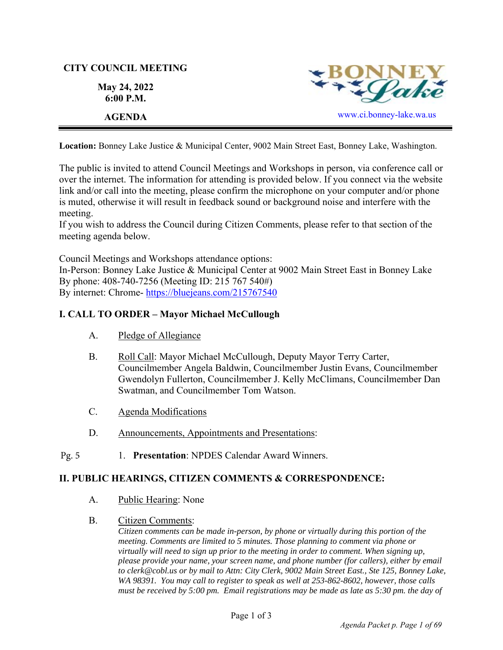# **CITY COUNCIL MEETING**

**May 24, 2022 6:00 P.M.** 



**Location:** Bonney Lake Justice & Municipal Center, 9002 Main Street East, Bonney Lake, Washington.

The public is invited to attend Council Meetings and Workshops in person, via conference call or over the internet. The information for attending is provided below. If you connect via the website link and/or call into the meeting, please confirm the microphone on your computer and/or phone is muted, otherwise it will result in feedback sound or background noise and interfere with the meeting.

If you wish to address the Council during Citizen Comments, please refer to that section of the meeting agenda below.

Council Meetings and Workshops attendance options:

In-Person: Bonney Lake Justice & Municipal Center at 9002 Main Street East in Bonney Lake By phone: 408-740-7256 (Meeting ID: 215 767 540#) By internet: Chrome- https://bluejeans.com/215767540

# **I. CALL TO ORDER – Mayor Michael McCullough**

- A. Pledge of Allegiance
- B. Roll Call: Mayor Michael McCullough, Deputy Mayor Terry Carter, Councilmember Angela Baldwin, Councilmember Justin Evans, Councilmember Gwendolyn Fullerton, Councilmember J. Kelly McClimans, Councilmember Dan Swatman, and Councilmember Tom Watson.
- C. Agenda Modifications
- D. Announcements, Appointments and Presentations:
- 1. **Presentation**: NPDES Calendar Award Winners. Pg. 5

# **II. PUBLIC HEARINGS, CITIZEN COMMENTS & CORRESPONDENCE:**

- A. Public Hearing: None
- B. Citizen Comments:

*Citizen comments can be made in-person, by phone or virtually during this portion of the meeting. Comments are limited to 5 minutes. Those planning to comment via phone or virtually will need to sign up prior to the meeting in order to comment. When signing up, please provide your name, your screen name, and phone number (for callers), either by email to clerk@cobl.us or by mail to Attn: City Clerk, 9002 Main Street East., Ste 125, Bonney Lake, WA 98391. You may call to register to speak as well at 253-862-8602, however, those calls must be received by 5:00 pm. Email registrations may be made as late as 5:30 pm. the day of*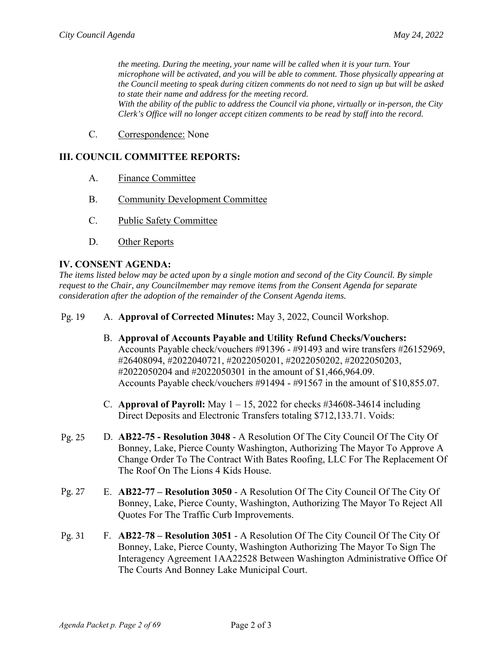*the meeting. During the meeting, your name will be called when it is your turn. Your microphone will be activated, and you will be able to comment. Those physically appearing at the Council meeting to speak during citizen comments do not need to sign up but will be asked to state their name and address for the meeting record. With the ability of the public to address the Council via phone, virtually or in-person, the City Clerk's Office will no longer accept citizen comments to be read by staff into the record.*

C. Correspondence: None

## **III. COUNCIL COMMITTEE REPORTS:**

- A. Finance Committee
- B. Community Development Committee
- C. Public Safety Committee
- D. Other Reports

#### **IV. CONSENT AGENDA:**

*The items listed below may be acted upon by a single motion and second of the City Council. By simple request to the Chair, any Councilmember may remove items from the Consent Agenda for separate consideration after the adoption of the remainder of the Consent Agenda items.*

A. **Approval of Corrected Minutes:** May 3, 2022, Council Workshop. Pg. 19

- B. **Approval of Accounts Payable and Utility Refund Checks/Vouchers:**  Accounts Payable check/vouchers #91396 - #91493 and wire transfers #26152969, #26408094, #2022040721, #2022050201, #2022050202, #2022050203, #2022050204 and #2022050301 in the amount of \$1,466,964.09. Accounts Payable check/vouchers #91494 - #91567 in the amount of \$10,855.07.
- C. **Approval of Payroll:** May 1 15, 2022 for checks #34608-34614 including Direct Deposits and Electronic Transfers totaling \$712,133.71. Voids:
- D. **AB22-75 Resolution 3048**  A Resolution Of The City Council Of The City Of Bonney, Lake, Pierce County Washington, Authorizing The Mayor To Approve A Change Order To The Contract With Bates Roofing, LLC For The Replacement Of The Roof On The Lions 4 Kids House. Pg. 25
- E. **AB22-77 Resolution 3050**  A Resolution Of The City Council Of The City Of Bonney, Lake, Pierce County, Washington, Authorizing The Mayor To Reject All Quotes For The Traffic Curb Improvements. Pg. 27
- F. **AB22**-**78 Resolution 3051** A Resolution Of The City Council Of The City Of Bonney, Lake, Pierce County, Washington Authorizing The Mayor To Sign The Interagency Agreement 1AA22528 Between Washington Administrative Office Of The Courts And Bonney Lake Municipal Court. Pg. 31